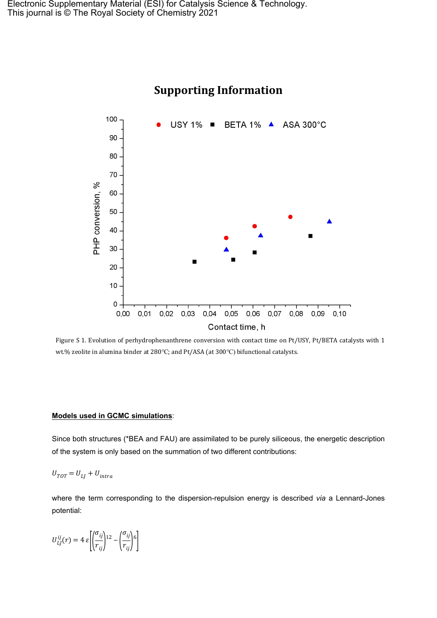

## **Supporting Information**

Figure S 1. Evolution of perhydrophenanthrene conversion with contact time on Pt/USY, Pt/BETA catalysts with 1 wt.% zeolite in alumina binder at 280℃; and Pt/ASA (at 300℃) bifunctional catalysts.

## **Models used in GCMC simulations**:

Since both structures (\*BEA and FAU) are assimilated to be purely siliceous, the energetic description of the system is only based on the summation of two different contributions:

$$
U_{TOT} = U_{LJ} + U_{intra}
$$

where the term corresponding to the dispersion-repulsion energy is described *via* a Lennard-Jones potential:

$$
U_{LJ}^{ij}(r) = 4 \varepsilon \left[ \left( \frac{\sigma_{ij}}{r_{ij}} \right)^{12} - \left( \frac{\sigma_{ij}}{r_{ij}} \right)^{6} \right]
$$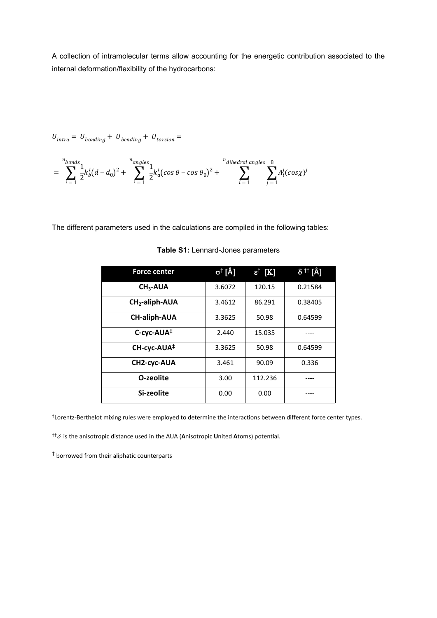A collection of intramolecular terms allow accounting for the energetic contribution associated to the internal deformation/flexibility of the hydrocarbons:

$$
U_{intra} = U_{bonding} + U_{bending} + U_{torsion} =
$$

$$
= \sum_{i=1}^{n_{bonds}} \frac{1}{2} k_b^i (d - d_0)^2 + \sum_{i=1}^{n_{angles}} \frac{1}{2} k_a^i (\cos \theta - \cos \theta_0)^2 + \sum_{i=1}^{n_{dihedral angles}} \sum_{j=1}^{8} A_i^j (\cos \chi)^j
$$

The different parameters used in the calculations are compiled in the following tables:

| <b>Force center</b>     | $\sigma^{\dagger}$ [Å] | $\epsilon^{\dagger}$ [K] | δ <sup>††</sup> [Å] |
|-------------------------|------------------------|--------------------------|---------------------|
| $CH3-AUA$               | 3.6072                 | 120.15                   | 0.21584             |
| $CH2$ -aliph-AUA        | 3.4612                 | 86.291                   | 0.38405             |
| <b>CH-aliph-AUA</b>     | 3.3625                 | 50.98                    | 0.64599             |
| C-cyc-AUA <sup>‡</sup>  | 2.440                  | 15.035                   |                     |
| CH-cyc-AUA <sup>‡</sup> | 3.3625                 | 50.98                    | 0.64599             |
| CH2-cyc-AUA             | 3.461                  | 90.09                    | 0.336               |
| O-zeolite               | 3.00                   | 112.236                  |                     |
| Si-zeolite              | 0.00                   | 0.00                     |                     |

**Table S1:** Lennard-Jones parameters

†Lorentz-Berthelot mixing rules were employed to determine the interactions between different force center types.

 $^{\dagger\dagger}\delta$  is the anisotropic distance used in the AUA (Anisotropic United Atoms) potential.

‡ borrowed from their aliphatic counterparts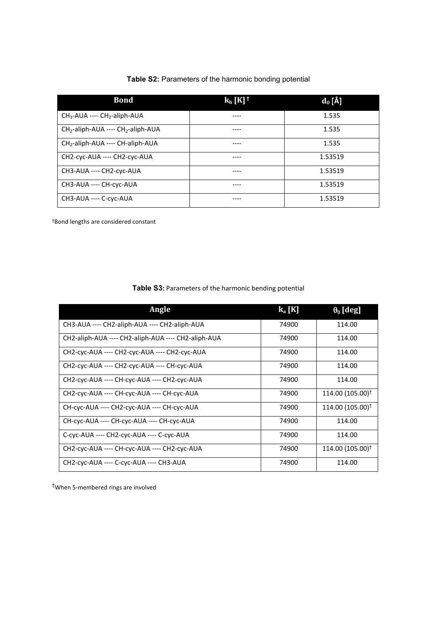|  | Table S2: Parameters of the harmonic bonding potential |  |  |  |  |
|--|--------------------------------------------------------|--|--|--|--|
|--|--------------------------------------------------------|--|--|--|--|

| <b>Bond</b>                            | $k_b$ [K] <sup>+</sup> | $\mathbf{d}_0$ [Å] |
|----------------------------------------|------------------------|--------------------|
| $CH3$ -AUA ---- $CH2$ -aliph-AUA       |                        | 1.535              |
| $CH2$ -aliph-AUA ---- $CH2$ -aliph-AUA |                        | 1.535              |
| $CH2$ -aliph-AUA ---- CH-aliph-AUA     |                        | 1.535              |
| CH2-cyc-AUA ---- CH2-cyc-AUA           |                        | 1.53519            |
| CH3-AUA ---- CH2-cyc-AUA               |                        | 1.53519            |
| CH3-AUA ---- CH-cyc-AUA                |                        | 1.53519            |
| CH3-AUA ---- C-cyc-AUA                 |                        | 1.53519            |

†Bond lengths are considered constant

**Table S3:** Parameters of the harmonic bending potential

| Angle                                               | $k_a[K]$ | $\theta_0$ [deg]             |
|-----------------------------------------------------|----------|------------------------------|
| CH3-AUA ---- CH2-aliph-AUA ---- CH2-aliph-AUA       | 74900    | 114.00                       |
| CH2-aliph-AUA ---- CH2-aliph-AUA ---- CH2-aliph-AUA | 74900    | 114.00                       |
| CH2-cyc-AUA ---- CH2-cyc-AUA ---- CH2-cyc-AUA       | 74900    | 114.00                       |
| CH2-cyc-AUA ---- CH2-cyc-AUA ---- CH-cyc-AUA        | 74900    | 114.00                       |
| CH2-cyc-AUA ---- CH-cyc-AUA ---- CH2-cyc-AUA        | 74900    | 114.00                       |
| CH2-cyc-AUA ---- CH-cyc-AUA ---- CH-cyc-AUA         | 74900    | $114.00(105.00)^{\dagger}$   |
| CH-cyc-AUA ---- CH2-cyc-AUA ---- CH-cyc-AUA         | 74900    | 114.00 (105.00) <sup>†</sup> |
| CH-cyc-AUA ---- CH-cyc-AUA ---- CH-cyc-AUA          | 74900    | 114.00                       |
| C-cyc-AUA ---- CH2-cyc-AUA ---- C-cyc-AUA           | 74900    | 114.00                       |
| CH2-cyc-AUA ---- CH-cyc-AUA ---- CH2-cyc-AUA        | 74900    | 114.00 (105.00) <sup>†</sup> |
| CH2-cyc-AUA ---- C-cyc-AUA ---- CH3-AUA             | 74900    | 114.00                       |

†When 5-membered rings are involved